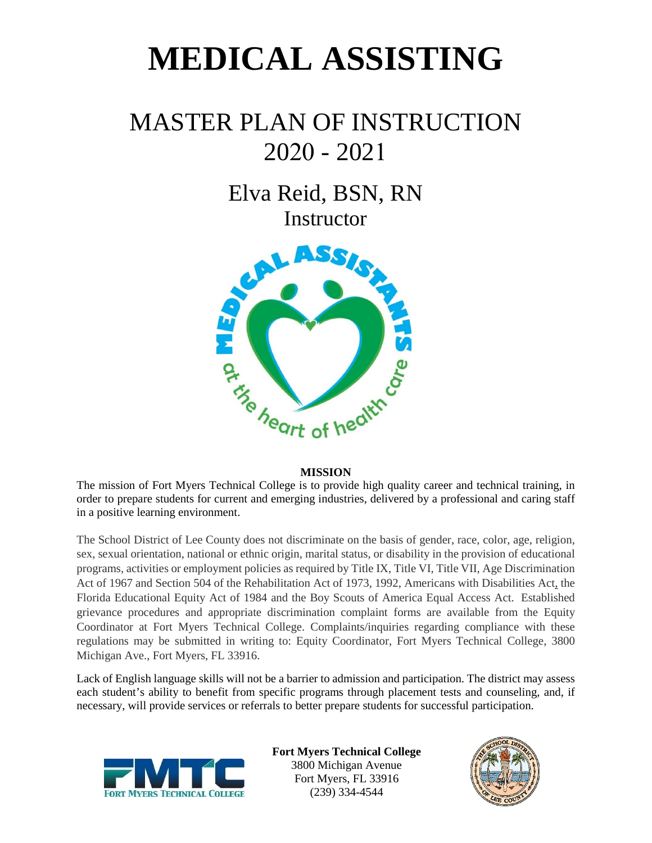# **MEDICAL ASSISTING**

## MASTER PLAN OF INSTRUCTION 2020 - 2021

Elva Reid, BSN, RN **Instructor** 



#### **MISSION**

The mission of Fort Myers Technical College is to provide high quality career and technical training, in order to prepare students for current and emerging industries, delivered by a professional and caring staff in a positive learning environment.

The School District of Lee County does not discriminate on the basis of gender, race, color, age, religion, sex, sexual orientation, national or ethnic origin, marital status, or disability in the provision of educational programs, activities or employment policies as required by Title IX, Title VI, Title VII, Age Discrimination Act of 1967 and Section 504 of the Rehabilitation Act of 1973, 1992, Americans with Disabilities Act, the Florida Educational Equity Act of 1984 and the Boy Scouts of America Equal Access Act. Established grievance procedures and appropriate discrimination complaint forms are available from the Equity Coordinator at Fort Myers Technical College. Complaints/inquiries regarding compliance with these regulations may be submitted in writing to: Equity Coordinator, Fort Myers Technical College, 3800 Michigan Ave., Fort Myers, FL 33916.

Lack of English language skills will not be a barrier to admission and participation. The district may assess each student's ability to benefit from specific programs through placement tests and counseling, and, if necessary, will provide services or referrals to better prepare students for successful participation.



**Fort Myers Technical College** 3800 Michigan Avenue Fort Myers, FL 33916 (239) 334-4544

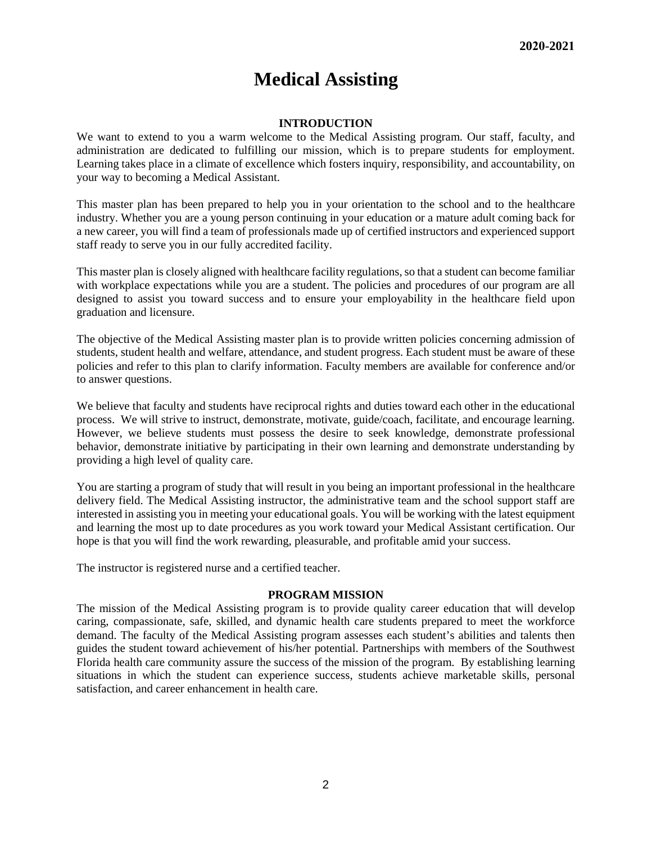### **Medical Assisting**

#### **INTRODUCTION**

We want to extend to you a warm welcome to the Medical Assisting program. Our staff, faculty, and administration are dedicated to fulfilling our mission, which is to prepare students for employment. Learning takes place in a climate of excellence which fosters inquiry, responsibility, and accountability, on your way to becoming a Medical Assistant.

This master plan has been prepared to help you in your orientation to the school and to the healthcare industry. Whether you are a young person continuing in your education or a mature adult coming back for a new career, you will find a team of professionals made up of certified instructors and experienced support staff ready to serve you in our fully accredited facility.

This master plan is closely aligned with healthcare facility regulations, so that a student can become familiar with workplace expectations while you are a student. The policies and procedures of our program are all designed to assist you toward success and to ensure your employability in the healthcare field upon graduation and licensure.

The objective of the Medical Assisting master plan is to provide written policies concerning admission of students, student health and welfare, attendance, and student progress. Each student must be aware of these policies and refer to this plan to clarify information. Faculty members are available for conference and/or to answer questions.

We believe that faculty and students have reciprocal rights and duties toward each other in the educational process. We will strive to instruct, demonstrate, motivate, guide/coach, facilitate, and encourage learning. However, we believe students must possess the desire to seek knowledge, demonstrate professional behavior, demonstrate initiative by participating in their own learning and demonstrate understanding by providing a high level of quality care.

You are starting a program of study that will result in you being an important professional in the healthcare delivery field. The Medical Assisting instructor, the administrative team and the school support staff are interested in assisting you in meeting your educational goals. You will be working with the latest equipment and learning the most up to date procedures as you work toward your Medical Assistant certification. Our hope is that you will find the work rewarding, pleasurable, and profitable amid your success.

The instructor is registered nurse and a certified teacher.

#### **PROGRAM MISSION**

The mission of the Medical Assisting program is to provide quality career education that will develop caring, compassionate, safe, skilled, and dynamic health care students prepared to meet the workforce demand. The faculty of the Medical Assisting program assesses each student's abilities and talents then guides the student toward achievement of his/her potential. Partnerships with members of the Southwest Florida health care community assure the success of the mission of the program. By establishing learning situations in which the student can experience success, students achieve marketable skills, personal satisfaction, and career enhancement in health care.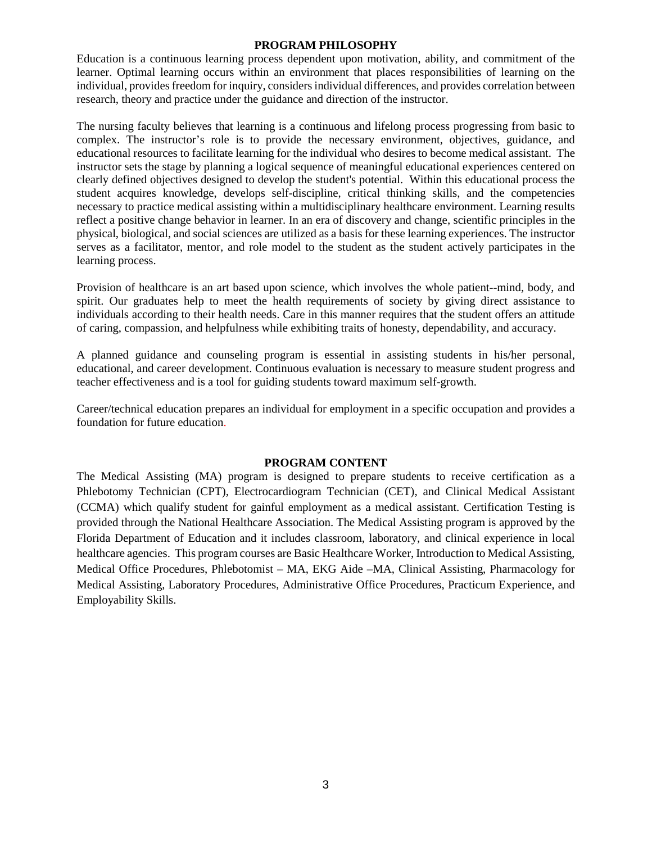#### **PROGRAM PHILOSOPHY**

Education is a continuous learning process dependent upon motivation, ability, and commitment of the learner. Optimal learning occurs within an environment that places responsibilities of learning on the individual, provides freedom for inquiry, considers individual differences, and provides correlation between research, theory and practice under the guidance and direction of the instructor.

The nursing faculty believes that learning is a continuous and lifelong process progressing from basic to complex. The instructor's role is to provide the necessary environment, objectives, guidance, and educational resources to facilitate learning for the individual who desires to become medical assistant. The instructor sets the stage by planning a logical sequence of meaningful educational experiences centered on clearly defined objectives designed to develop the student's potential. Within this educational process the student acquires knowledge, develops self-discipline, critical thinking skills, and the competencies necessary to practice medical assisting within a multidisciplinary healthcare environment. Learning results reflect a positive change behavior in learner. In an era of discovery and change, scientific principles in the physical, biological, and social sciences are utilized as a basis for these learning experiences. The instructor serves as a facilitator, mentor, and role model to the student as the student actively participates in the learning process.

Provision of healthcare is an art based upon science, which involves the whole patient--mind, body, and spirit. Our graduates help to meet the health requirements of society by giving direct assistance to individuals according to their health needs. Care in this manner requires that the student offers an attitude of caring, compassion, and helpfulness while exhibiting traits of honesty, dependability, and accuracy.

A planned guidance and counseling program is essential in assisting students in his/her personal, educational, and career development. Continuous evaluation is necessary to measure student progress and teacher effectiveness and is a tool for guiding students toward maximum self-growth.

Career/technical education prepares an individual for employment in a specific occupation and provides a foundation for future education.

#### **PROGRAM CONTENT**

The Medical Assisting (MA) program is designed to prepare students to receive certification as a Phlebotomy Technician (CPT), Electrocardiogram Technician (CET), and Clinical Medical Assistant (CCMA) which qualify student for gainful employment as a medical assistant. Certification Testing is provided through the National Healthcare Association. The Medical Assisting program is approved by the Florida Department of Education and it includes classroom, laboratory, and clinical experience in local healthcare agencies. This program courses are Basic Healthcare Worker, Introduction to Medical Assisting, Medical Office Procedures, Phlebotomist – MA, EKG Aide –MA, Clinical Assisting, Pharmacology for Medical Assisting, Laboratory Procedures, Administrative Office Procedures, Practicum Experience, and Employability Skills.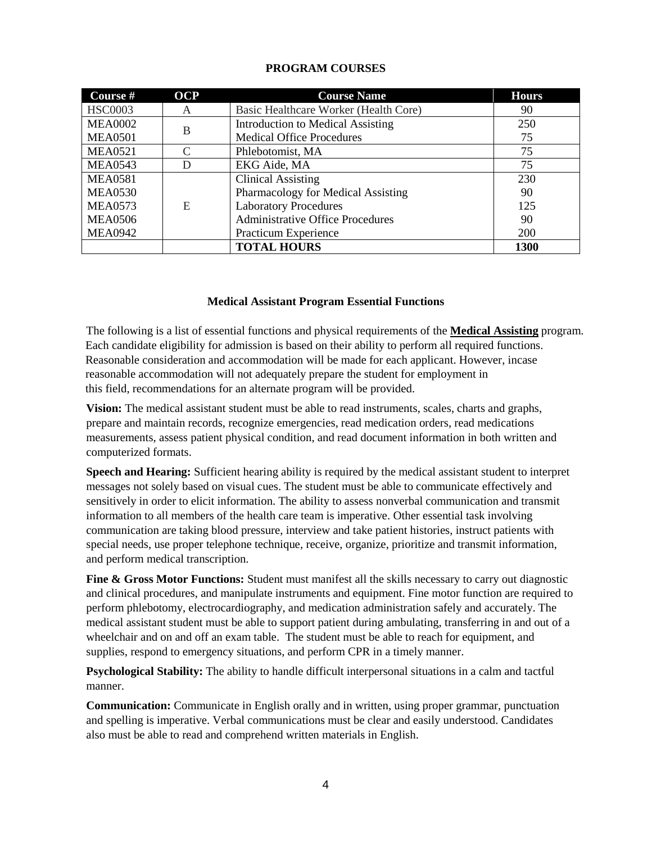| Course #       | <b>OCP</b> | <b>Course Name</b>                       | <b>Hours</b> |
|----------------|------------|------------------------------------------|--------------|
| <b>HSC0003</b> | A          | Basic Healthcare Worker (Health Core)    | 90           |
| <b>MEA0002</b> | B          | <b>Introduction to Medical Assisting</b> | 250          |
| <b>MEA0501</b> |            | <b>Medical Office Procedures</b>         | 75           |
| <b>MEA0521</b> |            | Phlebotomist, MA                         | 75           |
| <b>MEA0543</b> | D          | EKG Aide, MA                             | 75           |
| <b>MEA0581</b> |            | <b>Clinical Assisting</b>                | 230          |
| <b>MEA0530</b> |            | Pharmacology for Medical Assisting       | 90           |
| <b>MEA0573</b> | E          | <b>Laboratory Procedures</b>             | 125          |
| <b>MEA0506</b> |            | <b>Administrative Office Procedures</b>  | 90           |
| <b>MEA0942</b> |            | Practicum Experience                     | 200          |
|                |            | <b>TOTAL HOURS</b>                       | <b>1300</b>  |

#### **PROGRAM COURSES**

#### **Medical Assistant Program Essential Functions**

The following is a list of essential functions and physical requirements of the **Medical Assisting** program. Each candidate eligibility for admission is based on their ability to perform all required functions. Reasonable consideration and accommodation will be made for each applicant. However, incase reasonable accommodation will not adequately prepare the student for employment in this field, recommendations for an alternate program will be provided.

**Vision:** The medical assistant student must be able to read instruments, scales, charts and graphs, prepare and maintain records, recognize emergencies, read medication orders, read medications measurements, assess patient physical condition, and read document information in both written and computerized formats.

**Speech and Hearing:** Sufficient hearing ability is required by the medical assistant student to interpret messages not solely based on visual cues. The student must be able to communicate effectively and sensitively in order to elicit information. The ability to assess nonverbal communication and transmit information to all members of the health care team is imperative. Other essential task involving communication are taking blood pressure, interview and take patient histories, instruct patients with special needs, use proper telephone technique, receive, organize, prioritize and transmit information, and perform medical transcription.

Fine & Gross Motor Functions: Student must manifest all the skills necessary to carry out diagnostic and clinical procedures, and manipulate instruments and equipment. Fine motor function are required to perform phlebotomy, electrocardiography, and medication administration safely and accurately. The medical assistant student must be able to support patient during ambulating, transferring in and out of a wheelchair and on and off an exam table. The student must be able to reach for equipment, and supplies, respond to emergency situations, and perform CPR in a timely manner.

**Psychological Stability:** The ability to handle difficult interpersonal situations in a calm and tactful manner.

**Communication:** Communicate in English orally and in written, using proper grammar, punctuation and spelling is imperative. Verbal communications must be clear and easily understood. Candidates also must be able to read and comprehend written materials in English.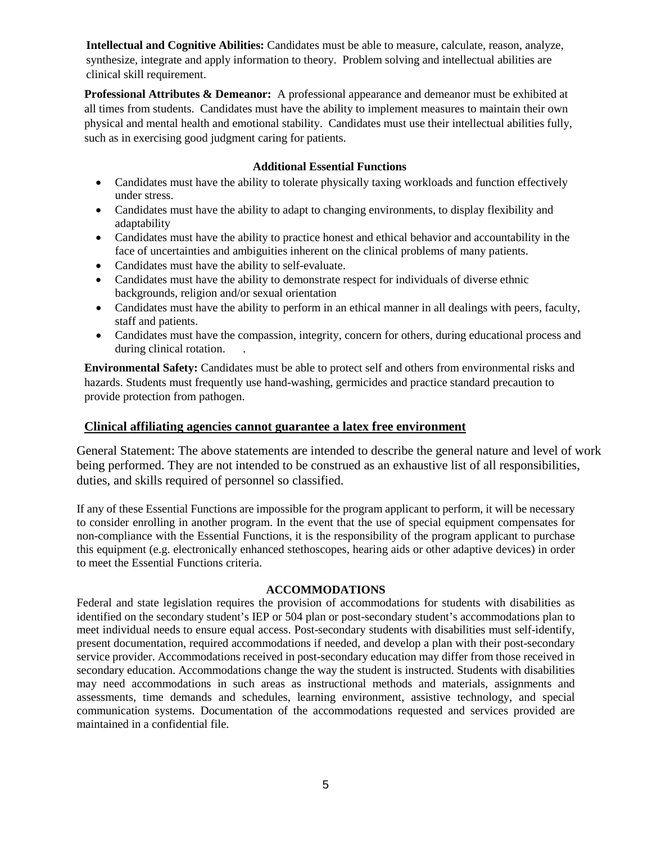**Intellectual and Cognitive Abilities:** Candidates must be able to measure, calculate, reason, analyze, synthesize, integrate and apply information to theory. Problem solving and intellectual abilities are clinical skill requirement.

**Professional Attributes & Demeanor:** A professional appearance and demeanor must be exhibited at all times from students. Candidates must have the ability to implement measures to maintain their own physical and mental health and emotional stability. Candidates must use their intellectual abilities fully, such as in exercising good judgment caring for patients.

#### **Additional Essential Functions**

- Candidates must have the ability to tolerate physically taxing workloads and function effectively under stress.
- Candidates must have the ability to adapt to changing environments, to display flexibility and adaptability
- Candidates must have the ability to practice honest and ethical behavior and accountability in the face of uncertainties and ambiguities inherent on the clinical problems of many patients.
- Candidates must have the ability to self-evaluate.
- Candidates must have the ability to demonstrate respect for individuals of diverse ethnic backgrounds, religion and/or sexual orientation
- Candidates must have the ability to perform in an ethical manner in all dealings with peers, faculty, staff and patients.
- Candidates must have the compassion, integrity, concern for others, during educational process and during clinical rotation.

**Environmental Safety:** Candidates must be able to protect self and others from environmental risks and hazards. Students must frequently use hand-washing, germicides and practice standard precaution to provide protection from pathogen.

#### **Clinical affiliating agencies cannot guarantee a latex free environment**

General Statement: The above statements are intended to describe the general nature and level of work being performed. They are not intended to be construed as an exhaustive list of all responsibilities, duties, and skills required of personnel so classified.

If any of these Essential Functions are impossible for the program applicant to perform, it will be necessary to consider enrolling in another program. In the event that the use of special equipment compensates for non-compliance with the Essential Functions, it is the responsibility of the program applicant to purchase this equipment (e.g. electronically enhanced stethoscopes, hearing aids or other adaptive devices) in order to meet the Essential Functions criteria.

#### **ACCOMMODATIONS**

Federal and state legislation requires the provision of accommodations for students with disabilities as identified on the secondary student's IEP or 504 plan or post-secondary student's accommodations plan to meet individual needs to ensure equal access. Post-secondary students with disabilities must self-identify, present documentation, required accommodations if needed, and develop a plan with their post-secondary service provider. Accommodations received in post-secondary education may differ from those received in secondary education. Accommodations change the way the student is instructed. Students with disabilities may need accommodations in such areas as instructional methods and materials, assignments and assessments, time demands and schedules, learning environment, assistive technology, and special communication systems. Documentation of the accommodations requested and services provided are maintained in a confidential file.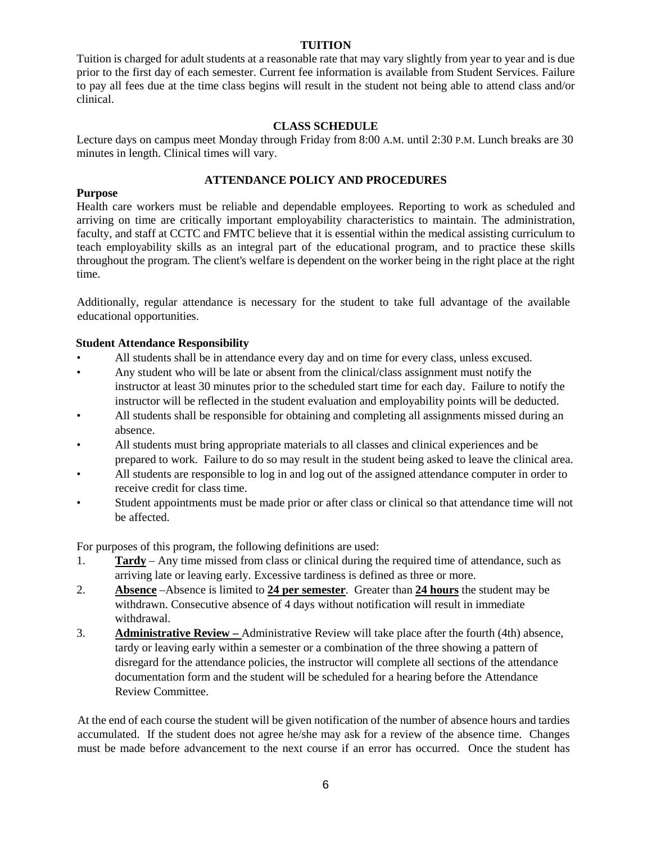#### **TUITION**

Tuition is charged for adult students at a reasonable rate that may vary slightly from year to year and is due prior to the first day of each semester. Current fee information is available from Student Services. Failure to pay all fees due at the time class begins will result in the student not being able to attend class and/or clinical.

#### **CLASS SCHEDULE**

Lecture days on campus meet Monday through Friday from 8:00 A.M. until 2:30 P.M. Lunch breaks are 30 minutes in length. Clinical times will vary.

#### **ATTENDANCE POLICY AND PROCEDURES**

#### **Purpose**

Health care workers must be reliable and dependable employees. Reporting to work as scheduled and arriving on time are critically important employability characteristics to maintain. The administration, faculty, and staff at CCTC and FMTC believe that it is essential within the medical assisting curriculum to teach employability skills as an integral part of the educational program, and to practice these skills throughout the program. The client's welfare is dependent on the worker being in the right place at the right time.

Additionally, regular attendance is necessary for the student to take full advantage of the available educational opportunities.

#### **Student Attendance Responsibility**

- All students shall be in attendance every day and on time for every class, unless excused.
- Any student who will be late or absent from the clinical/class assignment must notify the instructor at least 30 minutes prior to the scheduled start time for each day. Failure to notify the instructor will be reflected in the student evaluation and employability points will be deducted.
- All students shall be responsible for obtaining and completing all assignments missed during an absence.
- All students must bring appropriate materials to all classes and clinical experiences and be prepared to work. Failure to do so may result in the student being asked to leave the clinical area.
- All students are responsible to log in and log out of the assigned attendance computer in order to receive credit for class time.
- Student appointments must be made prior or after class or clinical so that attendance time will not be affected.

For purposes of this program, the following definitions are used:

- 1. **Tardy** Any time missed from class or clinical during the required time of attendance, such as arriving late or leaving early. Excessive tardiness is defined as three or more.
- 2. **Absence** –Absence is limited to **24 per semester**. Greater than **24 hours** the student may be withdrawn. Consecutive absence of 4 days without notification will result in immediate withdrawal.
- 3. **Administrative Review** Administrative Review will take place after the fourth (4th) absence, tardy or leaving early within a semester or a combination of the three showing a pattern of disregard for the attendance policies, the instructor will complete all sections of the attendance documentation form and the student will be scheduled for a hearing before the Attendance Review Committee.

At the end of each course the student will be given notification of the number of absence hours and tardies accumulated. If the student does not agree he/she may ask for a review of the absence time. Changes must be made before advancement to the next course if an error has occurred. Once the student has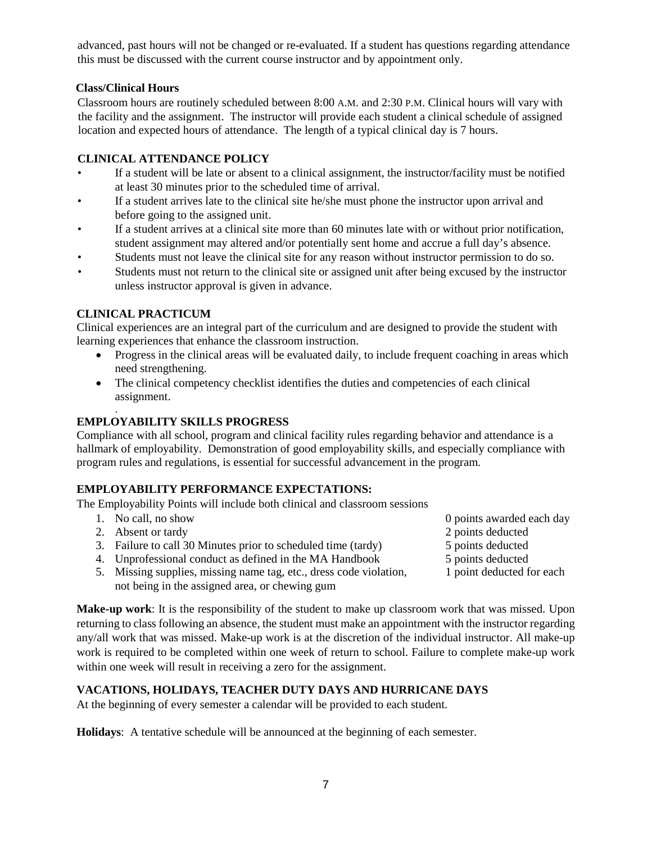advanced, past hours will not be changed or re-evaluated. If a student has questions regarding attendance this must be discussed with the current course instructor and by appointment only.

#### **Class/Clinical Hours**

Classroom hours are routinely scheduled between 8:00 A.M. and 2:30 P.M. Clinical hours will vary with the facility and the assignment. The instructor will provide each student a clinical schedule of assigned location and expected hours of attendance. The length of a typical clinical day is 7 hours.

#### **CLINICAL ATTENDANCE POLICY**

- If a student will be late or absent to a clinical assignment, the instructor/facility must be notified at least 30 minutes prior to the scheduled time of arrival.
- If a student arrives late to the clinical site he/she must phone the instructor upon arrival and before going to the assigned unit.
- If a student arrives at a clinical site more than 60 minutes late with or without prior notification, student assignment may altered and/or potentially sent home and accrue a full day's absence.
- Students must not leave the clinical site for any reason without instructor permission to do so.
- Students must not return to the clinical site or assigned unit after being excused by the instructor unless instructor approval is given in advance.

#### **CLINICAL PRACTICUM**

Clinical experiences are an integral part of the curriculum and are designed to provide the student with learning experiences that enhance the classroom instruction.

- Progress in the clinical areas will be evaluated daily, to include frequent coaching in areas which need strengthening.
- The clinical competency checklist identifies the duties and competencies of each clinical assignment.

#### . **EMPLOYABILITY SKILLS PROGRESS**

Compliance with all school, program and clinical facility rules regarding behavior and attendance is a hallmark of employability. Demonstration of good employability skills, and especially compliance with program rules and regulations, is essential for successful advancement in the program.

#### **EMPLOYABILITY PERFORMANCE EXPECTATIONS:**

The Employability Points will include both clinical and classroom sessions

- 
- 2. Absent or tardy 2 points deducted 2 points deducted
- 3. Failure to call 30 Minutes prior to scheduled time (tardy) 5 points deducted
- 4. Unprofessional conduct as defined in the MA Handbook 5 points deducted

within one week will result in receiving a zero for the assignment.

- 5. Missing supplies, missing name tag, etc., dress code violation, 1 point deducted for each not being in the assigned area, or chewing gum
- **Make-up work**: It is the responsibility of the student to make up classroom work that was missed. Upon returning to class following an absence, the student must make an appointment with the instructor regarding any/all work that was missed. Make-up work is at the discretion of the individual instructor. All make-up work is required to be completed within one week of return to school. Failure to complete make-up work

#### **VACATIONS, HOLIDAYS, TEACHER DUTY DAYS AND HURRICANE DAYS**

At the beginning of every semester a calendar will be provided to each student.

**Holidays**: A tentative schedule will be announced at the beginning of each semester.

- 1. No call, no show 0 points awarded each day
	-
	-
	-
	-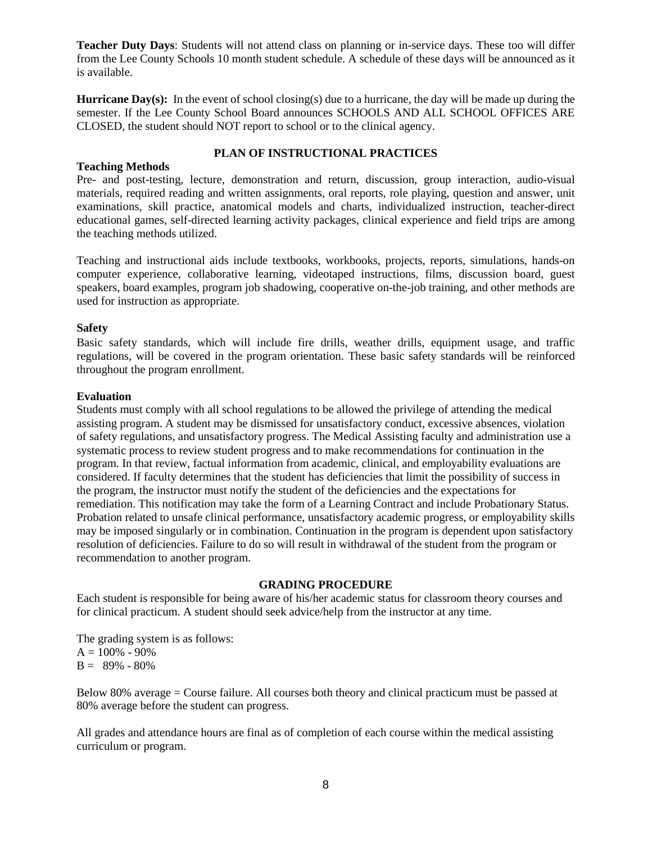**Teacher Duty Days**: Students will not attend class on planning or in-service days. These too will differ from the Lee County Schools 10 month student schedule. A schedule of these days will be announced as it is available.

**Hurricane Day(s):** In the event of school closing(s) due to a hurricane, the day will be made up during the semester. If the Lee County School Board announces SCHOOLS AND ALL SCHOOL OFFICES ARE CLOSED, the student should NOT report to school or to the clinical agency.

#### **Teaching Methods**

#### **PLAN OF INSTRUCTIONAL PRACTICES**

Pre- and post-testing, lecture, demonstration and return, discussion, group interaction, audio-visual materials, required reading and written assignments, oral reports, role playing, question and answer, unit examinations, skill practice, anatomical models and charts, individualized instruction, teacher-direct educational games, self-directed learning activity packages, clinical experience and field trips are among the teaching methods utilized.

Teaching and instructional aids include textbooks, workbooks, projects, reports, simulations, hands-on computer experience, collaborative learning, videotaped instructions, films, discussion board, guest speakers, board examples, program job shadowing, cooperative on-the-job training, and other methods are used for instruction as appropriate.

#### **Safety**

Basic safety standards, which will include fire drills, weather drills, equipment usage, and traffic regulations, will be covered in the program orientation. These basic safety standards will be reinforced throughout the program enrollment.

#### **Evaluation**

Students must comply with all school regulations to be allowed the privilege of attending the medical assisting program. A student may be dismissed for unsatisfactory conduct, excessive absences, violation of safety regulations, and unsatisfactory progress. The Medical Assisting faculty and administration use a systematic process to review student progress and to make recommendations for continuation in the program. In that review, factual information from academic, clinical, and employability evaluations are considered. If faculty determines that the student has deficiencies that limit the possibility of success in the program, the instructor must notify the student of the deficiencies and the expectations for remediation. This notification may take the form of a Learning Contract and include Probationary Status. Probation related to unsafe clinical performance, unsatisfactory academic progress, or employability skills may be imposed singularly or in combination. Continuation in the program is dependent upon satisfactory resolution of deficiencies. Failure to do so will result in withdrawal of the student from the program or recommendation to another program.

#### **GRADING PROCEDURE**

Each student is responsible for being aware of his/her academic status for classroom theory courses and for clinical practicum. A student should seek advice/help from the instructor at any time.

The grading system is as follows:  $A = 100\% - 90\%$  $B = 89\% - 80\%$ 

Below 80% average = Course failure. All courses both theory and clinical practicum must be passed at 80% average before the student can progress.

All grades and attendance hours are final as of completion of each course within the medical assisting curriculum or program.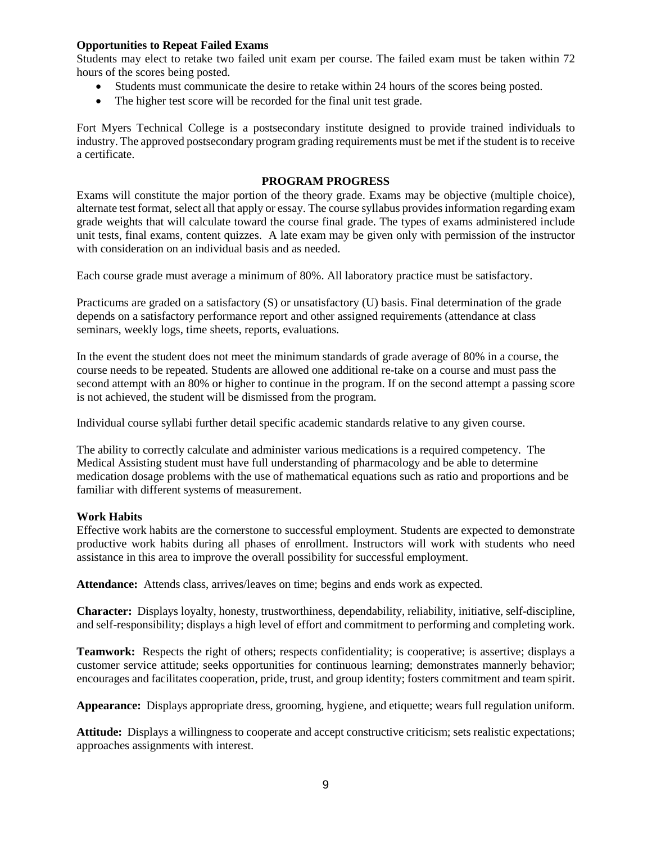#### **Opportunities to Repeat Failed Exams**

Students may elect to retake two failed unit exam per course. The failed exam must be taken within 72 hours of the scores being posted.

- Students must communicate the desire to retake within 24 hours of the scores being posted.
- The higher test score will be recorded for the final unit test grade.

Fort Myers Technical College is a postsecondary institute designed to provide trained individuals to industry. The approved postsecondary program grading requirements must be met if the student is to receive a certificate.

#### **PROGRAM PROGRESS**

Exams will constitute the major portion of the theory grade. Exams may be objective (multiple choice), alternate test format, select all that apply or essay. The course syllabus provides information regarding exam grade weights that will calculate toward the course final grade. The types of exams administered include unit tests, final exams, content quizzes. A late exam may be given only with permission of the instructor with consideration on an individual basis and as needed.

Each course grade must average a minimum of 80%. All laboratory practice must be satisfactory.

Practicums are graded on a satisfactory (S) or unsatisfactory (U) basis. Final determination of the grade depends on a satisfactory performance report and other assigned requirements (attendance at class seminars, weekly logs, time sheets, reports, evaluations.

In the event the student does not meet the minimum standards of grade average of 80% in a course, the course needs to be repeated. Students are allowed one additional re-take on a course and must pass the second attempt with an 80% or higher to continue in the program. If on the second attempt a passing score is not achieved, the student will be dismissed from the program.

Individual course syllabi further detail specific academic standards relative to any given course.

The ability to correctly calculate and administer various medications is a required competency. The Medical Assisting student must have full understanding of pharmacology and be able to determine medication dosage problems with the use of mathematical equations such as ratio and proportions and be familiar with different systems of measurement.

#### **Work Habits**

Effective work habits are the cornerstone to successful employment. Students are expected to demonstrate productive work habits during all phases of enrollment. Instructors will work with students who need assistance in this area to improve the overall possibility for successful employment.

**Attendance:** Attends class, arrives/leaves on time; begins and ends work as expected.

**Character:** Displays loyalty, honesty, trustworthiness, dependability, reliability, initiative, self-discipline, and self-responsibility; displays a high level of effort and commitment to performing and completing work.

**Teamwork:** Respects the right of others; respects confidentiality; is cooperative; is assertive; displays a customer service attitude; seeks opportunities for continuous learning; demonstrates mannerly behavior; encourages and facilitates cooperation, pride, trust, and group identity; fosters commitment and team spirit.

**Appearance:** Displays appropriate dress, grooming, hygiene, and etiquette; wears full regulation uniform.

**Attitude:** Displays a willingness to cooperate and accept constructive criticism; sets realistic expectations; approaches assignments with interest.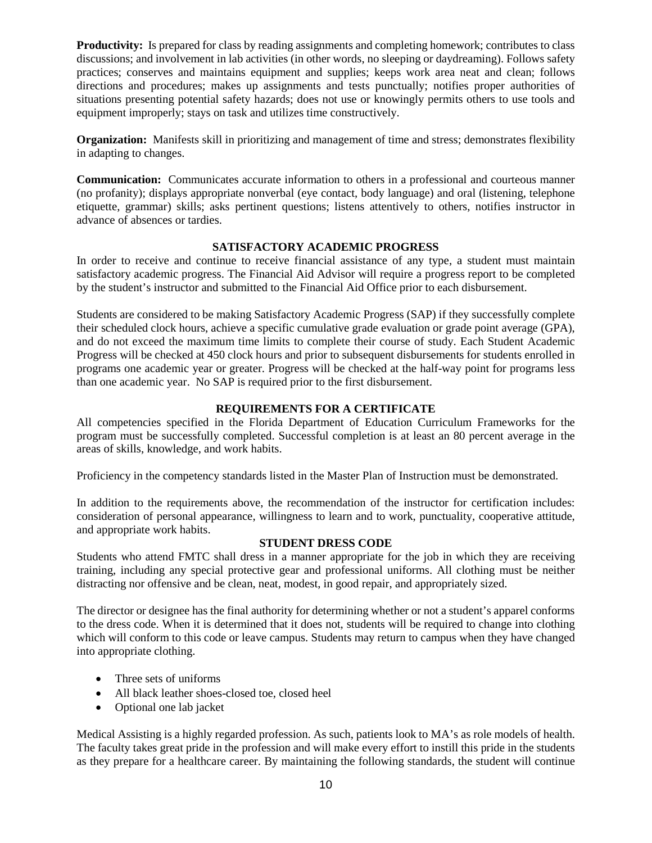**Productivity:** Is prepared for class by reading assignments and completing homework; contributes to class discussions; and involvement in lab activities (in other words, no sleeping or daydreaming). Follows safety practices; conserves and maintains equipment and supplies; keeps work area neat and clean; follows directions and procedures; makes up assignments and tests punctually; notifies proper authorities of situations presenting potential safety hazards; does not use or knowingly permits others to use tools and equipment improperly; stays on task and utilizes time constructively.

**Organization:** Manifests skill in prioritizing and management of time and stress; demonstrates flexibility in adapting to changes.

**Communication:** Communicates accurate information to others in a professional and courteous manner (no profanity); displays appropriate nonverbal (eye contact, body language) and oral (listening, telephone etiquette, grammar) skills; asks pertinent questions; listens attentively to others, notifies instructor in advance of absences or tardies.

#### **SATISFACTORY ACADEMIC PROGRESS**

In order to receive and continue to receive financial assistance of any type, a student must maintain satisfactory academic progress. The Financial Aid Advisor will require a progress report to be completed by the student's instructor and submitted to the Financial Aid Office prior to each disbursement.

Students are considered to be making Satisfactory Academic Progress (SAP) if they successfully complete their scheduled clock hours, achieve a specific cumulative grade evaluation or grade point average (GPA), and do not exceed the maximum time limits to complete their course of study. Each Student Academic Progress will be checked at 450 clock hours and prior to subsequent disbursements for students enrolled in programs one academic year or greater. Progress will be checked at the half-way point for programs less than one academic year. No SAP is required prior to the first disbursement.

#### **REQUIREMENTS FOR A CERTIFICATE**

All competencies specified in the Florida Department of Education Curriculum Frameworks for the program must be successfully completed. Successful completion is at least an 80 percent average in the areas of skills, knowledge, and work habits.

Proficiency in the competency standards listed in the Master Plan of Instruction must be demonstrated.

In addition to the requirements above, the recommendation of the instructor for certification includes: consideration of personal appearance, willingness to learn and to work, punctuality, cooperative attitude, and appropriate work habits.

#### **STUDENT DRESS CODE**

Students who attend FMTC shall dress in a manner appropriate for the job in which they are receiving training, including any special protective gear and professional uniforms. All clothing must be neither distracting nor offensive and be clean, neat, modest, in good repair, and appropriately sized.

The director or designee has the final authority for determining whether or not a student's apparel conforms to the dress code. When it is determined that it does not, students will be required to change into clothing which will conform to this code or leave campus. Students may return to campus when they have changed into appropriate clothing.

- Three sets of uniforms
- All black leather shoes-closed toe, closed heel
- Optional one lab jacket

Medical Assisting is a highly regarded profession. As such, patients look to MA's as role models of health. The faculty takes great pride in the profession and will make every effort to instill this pride in the students as they prepare for a healthcare career. By maintaining the following standards, the student will continue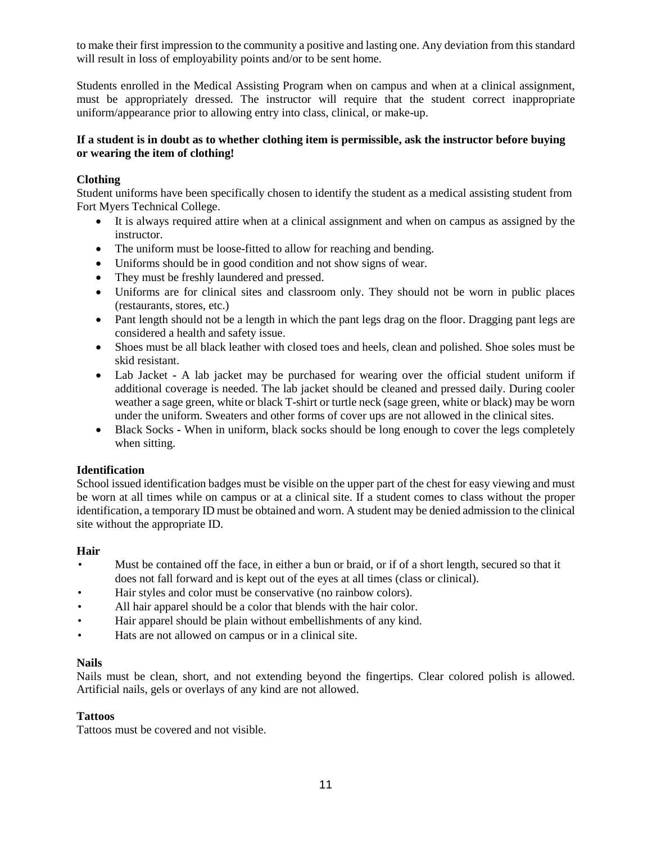to make their first impression to the community a positive and lasting one. Any deviation from this standard will result in loss of employability points and/or to be sent home.

Students enrolled in the Medical Assisting Program when on campus and when at a clinical assignment, must be appropriately dressed. The instructor will require that the student correct inappropriate uniform/appearance prior to allowing entry into class, clinical, or make-up.

#### **If a student is in doubt as to whether clothing item is permissible, ask the instructor before buying or wearing the item of clothing!**

#### **Clothing**

Student uniforms have been specifically chosen to identify the student as a medical assisting student from Fort Myers Technical College.

- It is always required attire when at a clinical assignment and when on campus as assigned by the instructor.
- The uniform must be loose-fitted to allow for reaching and bending.
- Uniforms should be in good condition and not show signs of wear.
- They must be freshly laundered and pressed.
- Uniforms are for clinical sites and classroom only. They should not be worn in public places (restaurants, stores, etc.)
- Pant length should not be a length in which the pant legs drag on the floor. Dragging pant legs are considered a health and safety issue.
- Shoes must be all black leather with closed toes and heels, clean and polished. Shoe soles must be skid resistant.
- Lab Jacket **-** A lab jacket may be purchased for wearing over the official student uniform if additional coverage is needed. The lab jacket should be cleaned and pressed daily. During cooler weather a sage green, white or black T-shirt or turtle neck (sage green, white or black) may be worn under the uniform. Sweaters and other forms of cover ups are not allowed in the clinical sites.
- Black Socks When in uniform, black socks should be long enough to cover the legs completely when sitting.

#### **Identification**

School issued identification badges must be visible on the upper part of the chest for easy viewing and must be worn at all times while on campus or at a clinical site. If a student comes to class without the proper identification, a temporary ID must be obtained and worn. A student may be denied admission to the clinical site without the appropriate ID.

#### **Hair**

- Must be contained off the face, in either a bun or braid, or if of a short length, secured so that it does not fall forward and is kept out of the eyes at all times (class or clinical).
- Hair styles and color must be conservative (no rainbow colors).
- All hair apparel should be a color that blends with the hair color.
- Hair apparel should be plain without embellishments of any kind.
- Hats are not allowed on campus or in a clinical site.

#### **Nails**

Nails must be clean, short, and not extending beyond the fingertips. Clear colored polish is allowed. Artificial nails, gels or overlays of any kind are not allowed.

#### **Tattoos**

Tattoos must be covered and not visible.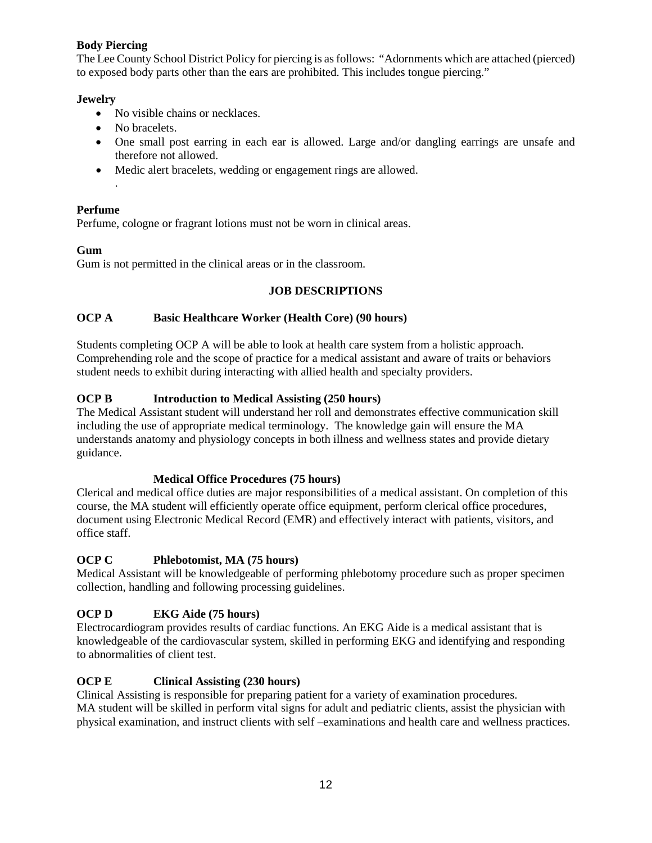#### **Body Piercing**

The Lee County School District Policy for piercing is as follows: "Adornments which are attached (pierced) to exposed body parts other than the ears are prohibited. This includes tongue piercing."

#### **Jewelry**

- No visible chains or necklaces.
- No bracelets.
- One small post earring in each ear is allowed. Large and/or dangling earrings are unsafe and therefore not allowed.
- Medic alert bracelets, wedding or engagement rings are allowed.

#### **Perfume**

.

Perfume, cologne or fragrant lotions must not be worn in clinical areas.

#### **Gum**

Gum is not permitted in the clinical areas or in the classroom.

#### **JOB DESCRIPTIONS**

#### **OCP A Basic Healthcare Worker (Health Core) (90 hours)**

Students completing OCP A will be able to look at health care system from a holistic approach. Comprehending role and the scope of practice for a medical assistant and aware of traits or behaviors student needs to exhibit during interacting with allied health and specialty providers.

#### **OCP B Introduction to Medical Assisting (250 hours)**

The Medical Assistant student will understand her roll and demonstrates effective communication skill including the use of appropriate medical terminology. The knowledge gain will ensure the MA understands anatomy and physiology concepts in both illness and wellness states and provide dietary guidance.

#### **Medical Office Procedures (75 hours)**

Clerical and medical office duties are major responsibilities of a medical assistant. On completion of this course, the MA student will efficiently operate office equipment, perform clerical office procedures, document using Electronic Medical Record (EMR) and effectively interact with patients, visitors, and office staff.

#### **OCP C Phlebotomist, MA (75 hours)**

Medical Assistant will be knowledgeable of performing phlebotomy procedure such as proper specimen collection, handling and following processing guidelines.

#### **OCP D EKG Aide (75 hours)**

Electrocardiogram provides results of cardiac functions. An EKG Aide is a medical assistant that is knowledgeable of the cardiovascular system, skilled in performing EKG and identifying and responding to abnormalities of client test.

#### **OCP E Clinical Assisting (230 hours)**

Clinical Assisting is responsible for preparing patient for a variety of examination procedures. MA student will be skilled in perform vital signs for adult and pediatric clients, assist the physician with physical examination, and instruct clients with self –examinations and health care and wellness practices.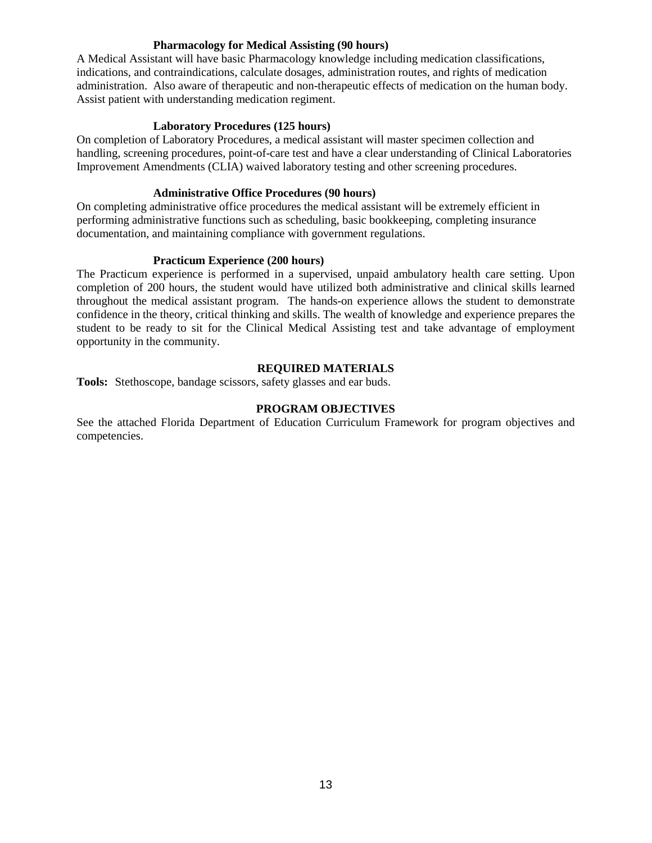#### **Pharmacology for Medical Assisting (90 hours)**

A Medical Assistant will have basic Pharmacology knowledge including medication classifications, indications, and contraindications, calculate dosages, administration routes, and rights of medication administration. Also aware of therapeutic and non-therapeutic effects of medication on the human body. Assist patient with understanding medication regiment.

#### **Laboratory Procedures (125 hours)**

On completion of Laboratory Procedures, a medical assistant will master specimen collection and handling, screening procedures, point-of-care test and have a clear understanding of Clinical Laboratories Improvement Amendments (CLIA) waived laboratory testing and other screening procedures.

#### **Administrative Office Procedures (90 hours)**

On completing administrative office procedures the medical assistant will be extremely efficient in performing administrative functions such as scheduling, basic bookkeeping, completing insurance documentation, and maintaining compliance with government regulations.

#### **Practicum Experience (200 hours)**

The Practicum experience is performed in a supervised, unpaid ambulatory health care setting. Upon completion of 200 hours, the student would have utilized both administrative and clinical skills learned throughout the medical assistant program. The hands-on experience allows the student to demonstrate confidence in the theory, critical thinking and skills. The wealth of knowledge and experience prepares the student to be ready to sit for the Clinical Medical Assisting test and take advantage of employment opportunity in the community.

#### **REQUIRED MATERIALS**

**Tools:** Stethoscope, bandage scissors, safety glasses and ear buds.

#### **PROGRAM OBJECTIVES**

See the attached Florida Department of Education Curriculum Framework for program objectives and competencies.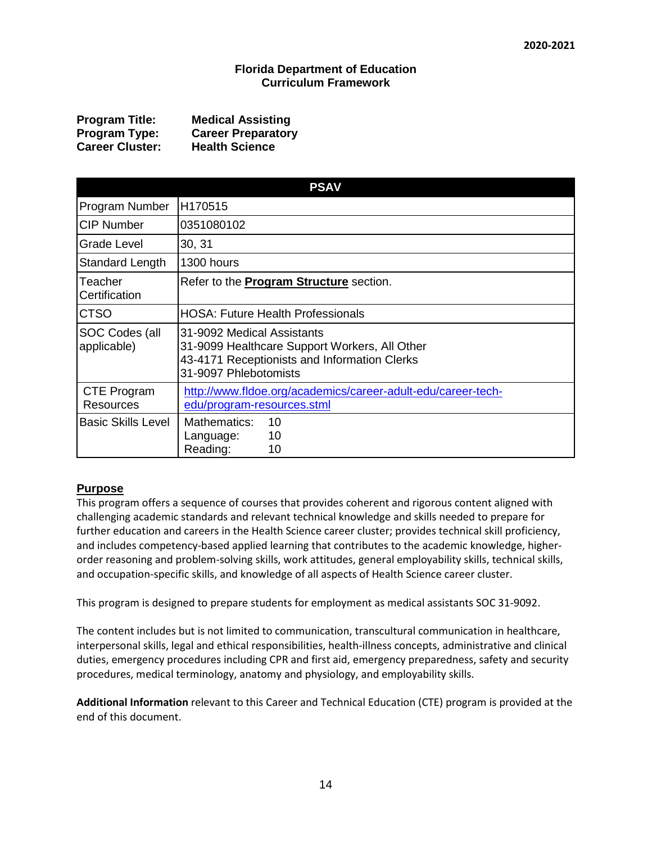#### **Florida Department of Education Curriculum Framework**

| <b>Program Title:</b>  | <b>Medical Assisting</b>  |
|------------------------|---------------------------|
| Program Type:          | <b>Career Preparatory</b> |
| <b>Career Cluster:</b> | <b>Health Science</b>     |

| <b>PSAV</b>                   |                                                                                                                                                      |  |  |  |
|-------------------------------|------------------------------------------------------------------------------------------------------------------------------------------------------|--|--|--|
| Program Number                | H170515                                                                                                                                              |  |  |  |
| <b>CIP Number</b>             | 0351080102                                                                                                                                           |  |  |  |
| Grade Level                   | 30, 31                                                                                                                                               |  |  |  |
| Standard Length               | 1300 hours                                                                                                                                           |  |  |  |
| Teacher<br>Certification      | Refer to the <b>Program Structure</b> section.                                                                                                       |  |  |  |
| <b>CTSO</b>                   | <b>HOSA: Future Health Professionals</b>                                                                                                             |  |  |  |
| SOC Codes (all<br>applicable) | 31-9092 Medical Assistants<br>31-9099 Healthcare Support Workers, All Other<br>43-4171 Receptionists and Information Clerks<br>31-9097 Phlebotomists |  |  |  |
| CTE Program<br>Resources      | http://www.fldoe.org/academics/career-adult-edu/career-tech-<br>edu/program-resources.stml                                                           |  |  |  |
| <b>Basic Skills Level</b>     | Mathematics:<br>10<br>10<br>Language:<br>Reading:<br>10                                                                                              |  |  |  |

#### **Purpose**

This program offers a sequence of courses that provides coherent and rigorous content aligned with challenging academic standards and relevant technical knowledge and skills needed to prepare for further education and careers in the Health Science career cluster; provides technical skill proficiency, and includes competency-based applied learning that contributes to the academic knowledge, higherorder reasoning and problem-solving skills, work attitudes, general employability skills, technical skills, and occupation-specific skills, and knowledge of all aspects of Health Science career cluster.

This program is designed to prepare students for employment as medical assistants SOC 31-9092.

The content includes but is not limited to communication, transcultural communication in healthcare, interpersonal skills, legal and ethical responsibilities, health-illness concepts, administrative and clinical duties, emergency procedures including CPR and first aid, emergency preparedness, safety and security procedures, medical terminology, anatomy and physiology, and employability skills.

**Additional Information** relevant to this Career and Technical Education (CTE) program is provided at the end of this document.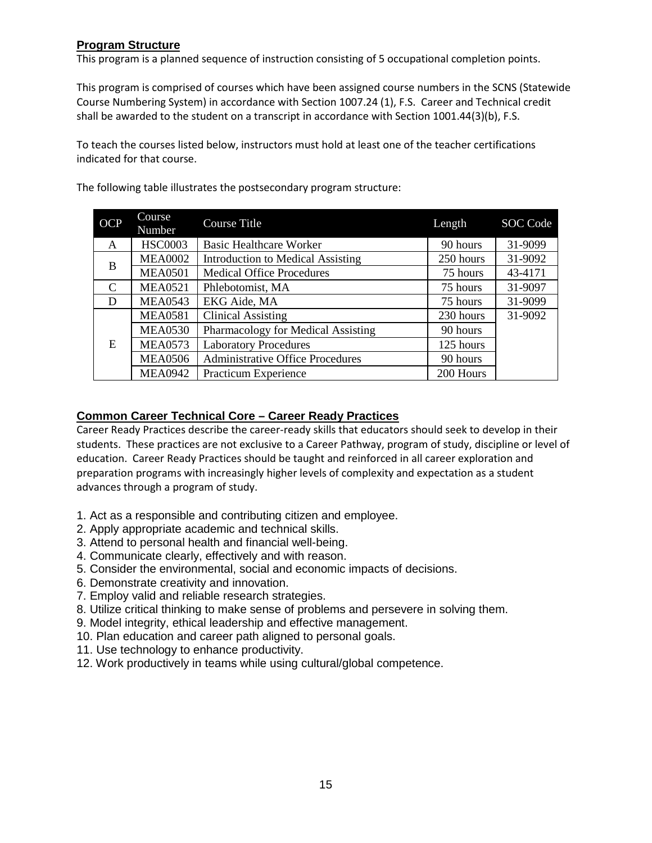#### **Program Structure**

This program is a planned sequence of instruction consisting of 5 occupational completion points.

This program is comprised of courses which have been assigned course numbers in the SCNS (Statewide Course Numbering System) in accordance with Section 1007.24 (1), F.S. Career and Technical credit shall be awarded to the student on a transcript in accordance with Section 1001.44(3)(b), F.S.

To teach the courses listed below, instructors must hold at least one of the teacher certifications indicated for that course.

| <b>OCP</b> | Course<br>Number | <b>Course Title</b>                     | Length    | SOC Code |
|------------|------------------|-----------------------------------------|-----------|----------|
| A          | <b>HSC0003</b>   | <b>Basic Healthcare Worker</b>          | 90 hours  | 31-9099  |
| B          | <b>MEA0002</b>   | Introduction to Medical Assisting       | 250 hours | 31-9092  |
|            | <b>MEA0501</b>   | <b>Medical Office Procedures</b>        | 75 hours  | 43-4171  |
| C          | <b>MEA0521</b>   | Phlebotomist, MA                        | 75 hours  | 31-9097  |
| D          | <b>MEA0543</b>   | EKG Aide, MA                            | 75 hours  | 31-9099  |
| E          | <b>MEA0581</b>   | <b>Clinical Assisting</b>               | 230 hours | 31-9092  |
|            | <b>MEA0530</b>   | Pharmacology for Medical Assisting      | 90 hours  |          |
|            | <b>MEA0573</b>   | <b>Laboratory Procedures</b>            | 125 hours |          |
|            | <b>MEA0506</b>   | <b>Administrative Office Procedures</b> | 90 hours  |          |
|            | <b>MEA0942</b>   | Practicum Experience                    | 200 Hours |          |

The following table illustrates the postsecondary program structure:

#### **Common Career Technical Core – Career Ready Practices**

Career Ready Practices describe the career-ready skills that educators should seek to develop in their students. These practices are not exclusive to a Career Pathway, program of study, discipline or level of education. Career Ready Practices should be taught and reinforced in all career exploration and preparation programs with increasingly higher levels of complexity and expectation as a student advances through a program of study.

- 1. Act as a responsible and contributing citizen and employee.
- 2. Apply appropriate academic and technical skills.
- 3. Attend to personal health and financial well-being.
- 4. Communicate clearly, effectively and with reason.
- 5. Consider the environmental, social and economic impacts of decisions.
- 6. Demonstrate creativity and innovation.
- 7. Employ valid and reliable research strategies.
- 8. Utilize critical thinking to make sense of problems and persevere in solving them.
- 9. Model integrity, ethical leadership and effective management.
- 10. Plan education and career path aligned to personal goals.
- 11. Use technology to enhance productivity.
- 12. Work productively in teams while using cultural/global competence.